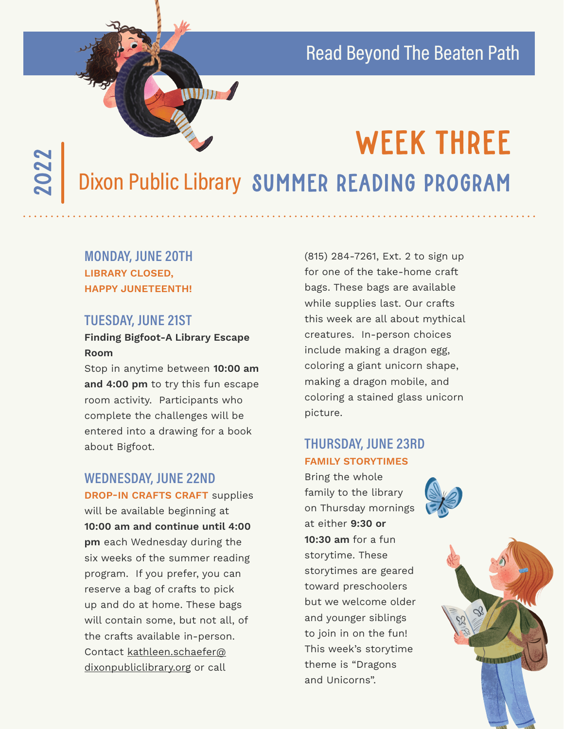# Read Beyond The Beaten Path

# 2022

# WEEK THREE

Dixon Public Library SUMMER READING PROGRAM

### **MONDAY, JUNE 20TH LIBRARY CLOSED, HAPPY JUNETEENTH!**

#### **TUESDAY, JUNE 21ST**

#### **Finding Bigfoot-A Library Escape Room**

**Thur A** 

Stop in anytime between **10:00 am and 4:00 pm** to try this fun escape room activity. Participants who complete the challenges will be entered into a drawing for a book about Bigfoot.

## **WEDNESDAY, JUNE 22ND**

**DROP-IN CRAFTS CRAFT** supplies will be available beginning at **10:00 am and continue until 4:00 pm** each Wednesday during the six weeks of the summer reading program. If you prefer, you can reserve a bag of crafts to pick up and do at home. These bags will contain some, but not all, of the crafts available in-person. Contact kathleen.schaefer@ dixonpubliclibrary.org or call

(815) 284-7261, Ext. 2 to sign up for one of the take-home craft bags. These bags are available while supplies last. Our crafts this week are all about mythical creatures. In-person choices include making a dragon egg, coloring a giant unicorn shape, making a dragon mobile, and coloring a stained glass unicorn picture.

#### **THURSDAY, JUNE 23RD FAMILY STORYTIMES**

Bring the whole family to the library on Thursday mornings at either **9:30 or 10:30 am** for a fun storytime. These storytimes are geared toward preschoolers but we welcome older and younger siblings to join in on the fun! This week's storytime theme is "Dragons and Unicorns".